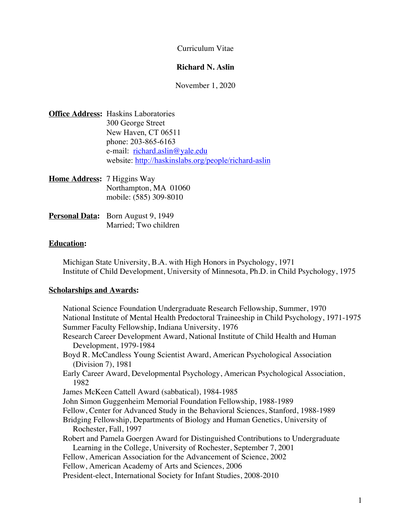Curriculum Vitae

#### **Richard N. Aslin**

November 1, 2020

| <b>Office Address: Haskins Laboratories</b>          |
|------------------------------------------------------|
| 300 George Street                                    |
| New Haven, CT 06511                                  |
| phone: 203-865-6163                                  |
| e-mail: richard.aslin@yale.edu                       |
| website: http://haskinslabs.org/people/richard-aslin |
|                                                      |
|                                                      |

| <b>Home Address:</b> 7 Higgins Way |                        |  |
|------------------------------------|------------------------|--|
|                                    | Northampton, MA 01060  |  |
|                                    | mobile: (585) 309-8010 |  |
|                                    |                        |  |

| <b>Personal Data:</b> Born August 9, 1949 |
|-------------------------------------------|
| Married: Two children                     |

# **Education:**

Michigan State University, B.A. with High Honors in Psychology, 1971 Institute of Child Development, University of Minnesota, Ph.D. in Child Psychology, 1975

## **Scholarships and Awards:**

National Science Foundation Undergraduate Research Fellowship, Summer, 1970 National Institute of Mental Health Predoctoral Traineeship in Child Psychology, 1971-1975 Summer Faculty Fellowship, Indiana University, 1976 Research Career Development Award, National Institute of Child Health and Human Development, 1979-1984 Boyd R. McCandless Young Scientist Award, American Psychological Association (Division 7), 1981 Early Career Award, Developmental Psychology, American Psychological Association, 1982 James McKeen Cattell Award (sabbatical), 1984-1985 John Simon Guggenheim Memorial Foundation Fellowship, 1988-1989 Fellow, Center for Advanced Study in the Behavioral Sciences, Stanford, 1988-1989 Bridging Fellowship, Departments of Biology and Human Genetics, University of Rochester, Fall, 1997 Robert and Pamela Goergen Award for Distinguished Contributions to Undergraduate Learning in the College, University of Rochester, September 7, 2001 Fellow, American Association for the Advancement of Science, 2002 Fellow, American Academy of Arts and Sciences, 2006 President-elect, International Society for Infant Studies, 2008-2010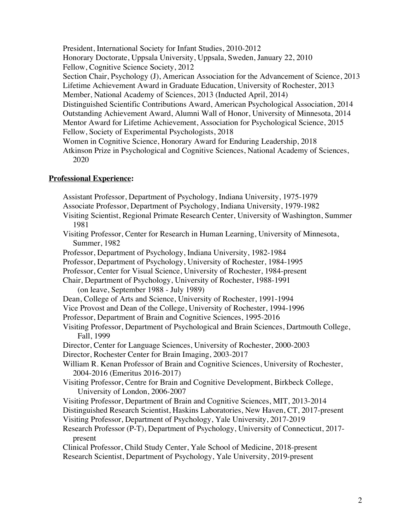President, International Society for Infant Studies, 2010-2012 Honorary Doctorate, Uppsala University, Uppsala, Sweden, January 22, 2010 Fellow, Cognitive Science Society, 2012 Section Chair, Psychology (J), American Association for the Advancement of Science, 2013 Lifetime Achievement Award in Graduate Education, University of Rochester, 2013 Member, National Academy of Sciences, 2013 (Inducted April, 2014) Distinguished Scientific Contributions Award, American Psychological Association, 2014 Outstanding Achievement Award, Alumni Wall of Honor, University of Minnesota, 2014 Mentor Award for Lifetime Achievement, Association for Psychological Science, 2015 Fellow, Society of Experimental Psychologists, 2018 Women in Cognitive Science, Honorary Award for Enduring Leadership, 2018 Atkinson Prize in Psychological and Cognitive Sciences, National Academy of Sciences, 2020

## **Professional Experience:**

Assistant Professor, Department of Psychology, Indiana University, 1975-1979 Associate Professor, Department of Psychology, Indiana University, 1979-1982 Visiting Scientist, Regional Primate Research Center, University of Washington, Summer 1981 Visiting Professor, Center for Research in Human Learning, University of Minnesota, Summer, 1982 Professor, Department of Psychology, Indiana University, 1982-1984 Professor, Department of Psychology, University of Rochester, 1984-1995 Professor, Center for Visual Science, University of Rochester, 1984-present Chair, Department of Psychology, University of Rochester, 1988-1991 (on leave, September 1988 - July 1989) Dean, College of Arts and Science, University of Rochester, 1991-1994 Vice Provost and Dean of the College, University of Rochester, 1994-1996 Professor, Department of Brain and Cognitive Sciences, 1995-2016 Visiting Professor, Department of Psychological and Brain Sciences, Dartmouth College, Fall, 1999 Director, Center for Language Sciences, University of Rochester, 2000-2003 Director, Rochester Center for Brain Imaging, 2003-2017 William R. Kenan Professor of Brain and Cognitive Sciences, University of Rochester, 2004-2016 (Emeritus 2016-2017) Visiting Professor, Centre for Brain and Cognitive Development, Birkbeck College, University of London, 2006-2007 Visiting Professor, Department of Brain and Cognitive Sciences, MIT, 2013-2014 Distinguished Research Scientist, Haskins Laboratories, New Haven, CT, 2017-present Visiting Professor, Department of Psychology, Yale University, 2017-2019 Research Professor (P-T), Department of Psychology, University of Connecticut, 2017 present Clinical Professor, Child Study Center, Yale School of Medicine, 2018-present Research Scientist, Department of Psychology, Yale University, 2019-present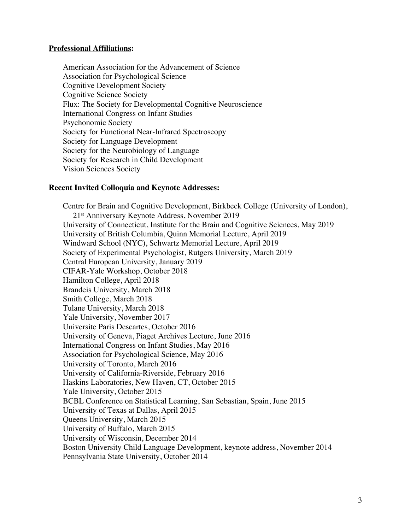#### **Professional Affiliations:**

American Association for the Advancement of Science Association for Psychological Science Cognitive Development Society Cognitive Science Society Flux: The Society for Developmental Cognitive Neuroscience International Congress on Infant Studies Psychonomic Society Society for Functional Near-Infrared Spectroscopy Society for Language Development Society for the Neurobiology of Language Society for Research in Child Development Vision Sciences Society

#### **Recent Invited Colloquia and Keynote Addresses:**

Centre for Brain and Cognitive Development, Birkbeck College (University of London), 21st Anniversary Keynote Address, November 2019 University of Connecticut, Institute for the Brain and Cognitive Sciences, May 2019 University of British Columbia, Quinn Memorial Lecture, April 2019 Windward School (NYC), Schwartz Memorial Lecture, April 2019 Society of Experimental Psychologist, Rutgers University, March 2019 Central European University, January 2019 CIFAR-Yale Workshop, October 2018 Hamilton College, April 2018 Brandeis University, March 2018 Smith College, March 2018 Tulane University, March 2018 Yale University, November 2017 Universite Paris Descartes, October 2016 University of Geneva, Piaget Archives Lecture, June 2016 International Congress on Infant Studies, May 2016 Association for Psychological Science, May 2016 University of Toronto, March 2016 University of California-Riverside, February 2016 Haskins Laboratories, New Haven, CT, October 2015 Yale University, October 2015 BCBL Conference on Statistical Learning, San Sebastian, Spain, June 2015 University of Texas at Dallas, April 2015 Queens University, March 2015 University of Buffalo, March 2015 University of Wisconsin, December 2014 Boston University Child Language Development, keynote address, November 2014 Pennsylvania State University, October 2014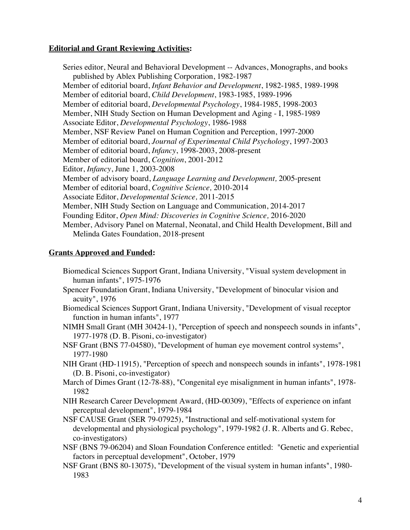# **Editorial and Grant Reviewing Activities:**

Series editor, Neural and Behavioral Development -- Advances, Monographs, and books published by Ablex Publishing Corporation, 1982-1987 Member of editorial board, *Infant Behavior and Development*, 1982-1985, 1989-1998 Member of editorial board, *Child Development*, 1983-1985, 1989-1996 Member of editorial board, *Developmental Psychology*, 1984-1985, 1998-2003 Member, NIH Study Section on Human Development and Aging - I, 1985-1989 Associate Editor, *Developmental Psychology*, 1986-1988 Member, NSF Review Panel on Human Cognition and Perception, 1997-2000 Member of editorial board, *Journal of Experimental Child Psychology*, 1997-2003 Member of editorial board, *Infancy*, 1998-2003, 2008-present Member of editorial board, *Cognition*, 2001-2012 Editor, *Infancy*, June 1, 2003-2008 Member of advisory board, *Language Learning and Development,* 2005-present Member of editorial board, *Cognitive Science,* 2010-2014 Associate Editor, *Developmental Science,* 2011-2015 Member, NIH Study Section on Language and Communication, 2014-2017 Founding Editor, *Open Mind: Discoveries in Cognitive Science,* 2016-2020 Member, Advisory Panel on Maternal, Neonatal, and Child Health Development, Bill and Melinda Gates Foundation, 2018-present

## **Grants Approved and Funded:**

- Biomedical Sciences Support Grant, Indiana University, "Visual system development in human infants", 1975-1976
- Spencer Foundation Grant, Indiana University, "Development of binocular vision and acuity", 1976
- Biomedical Sciences Support Grant, Indiana University, "Development of visual receptor function in human infants", 1977
- NIMH Small Grant (MH 30424-1), "Perception of speech and nonspeech sounds in infants", 1977-1978 (D. B. Pisoni, co-investigator)
- NSF Grant (BNS 77-04580), "Development of human eye movement control systems", 1977-1980
- NIH Grant (HD-11915), "Perception of speech and nonspeech sounds in infants", 1978-1981 (D. B. Pisoni, co-investigator)
- March of Dimes Grant (12-78-88), "Congenital eye misalignment in human infants", 1978- 1982
- NIH Research Career Development Award, (HD-00309), "Effects of experience on infant perceptual development", 1979-1984
- NSF CAUSE Grant (SER 79-07925), "Instructional and self-motivational system for developmental and physiological psychology", 1979-1982 (J. R. Alberts and G. Rebec, co-investigators)
- NSF (BNS 79-06204) and Sloan Foundation Conference entitled: "Genetic and experiential factors in perceptual development", October, 1979
- NSF Grant (BNS 80-13075), "Development of the visual system in human infants", 1980- 1983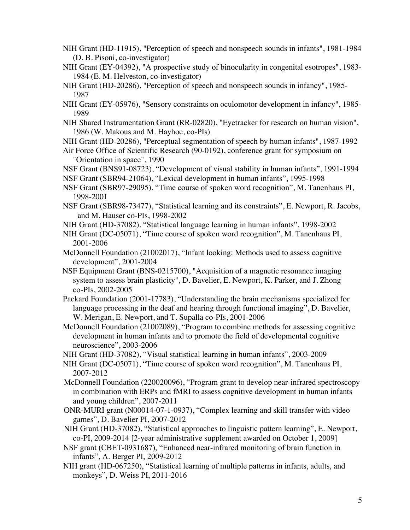- NIH Grant (HD-11915), "Perception of speech and nonspeech sounds in infants", 1981-1984 (D. B. Pisoni, co-investigator)
- NIH Grant (EY-04392), "A prospective study of binocularity in congenital esotropes", 1983- 1984 (E. M. Helveston, co-investigator)
- NIH Grant (HD-20286), "Perception of speech and nonspeech sounds in infancy", 1985- 1987
- NIH Grant (EY-05976), "Sensory constraints on oculomotor development in infancy", 1985- 1989
- NIH Shared Instrumentation Grant (RR-02820), "Eyetracker for research on human vision", 1986 (W. Makous and M. Hayhoe, co-PIs)
- NIH Grant (HD-20286), "Perceptual segmentation of speech by human infants", 1987-1992
- Air Force Office of Scientific Research (90-0192), conference grant for symposium on "Orientation in space", 1990
- NSF Grant (BNS91-08723), "Development of visual stability in human infants", 1991-1994
- NSF Grant (SBR94-21064), "Lexical development in human infants", 1995-1998
- NSF Grant (SBR97-29095), "Time course of spoken word recognition", M. Tanenhaus PI, 1998-2001
- NSF Grant (SBR98-73477), "Statistical learning and its constraints", E. Newport, R. Jacobs, and M. Hauser co-PIs, 1998-2002
- NIH Grant (HD-37082), "Statistical language learning in human infants", 1998-2002
- NIH Grant (DC-05071), "Time course of spoken word recognition", M. Tanenhaus PI, 2001-2006
- McDonnell Foundation (21002017), "Infant looking: Methods used to assess cognitive development", 2001-2004
- NSF Equipment Grant (BNS-0215700), "Acquisition of a magnetic resonance imaging system to assess brain plasticity", D. Bavelier, E. Newport, K. Parker, and J. Zhong co-PIs, 2002-2005
- Packard Foundation (2001-17783), "Understanding the brain mechanisms specialized for language processing in the deaf and hearing through functional imaging", D. Bavelier, W. Merigan, E. Newport, and T. Supalla co-PIs, 2001-2006
- McDonnell Foundation (21002089), "Program to combine methods for assessing cognitive development in human infants and to promote the field of developmental cognitive neuroscience", 2003-2006
- NIH Grant (HD-37082), "Visual statistical learning in human infants", 2003-2009
- NIH Grant (DC-05071), "Time course of spoken word recognition", M. Tanenhaus PI, 2007-2012
- McDonnell Foundation (220020096), "Program grant to develop near-infrared spectroscopy in combination with ERPs and fMRI to assess cognitive development in human infants and young children", 2007-2011
- ONR-MURI grant (N00014-07-1-0937), "Complex learning and skill transfer with video games", D. Bavelier PI, 2007-2012
- NIH Grant (HD-37082), "Statistical approaches to linguistic pattern learning", E. Newport, co-PI, 2009-2014 [2-year administrative supplement awarded on October 1, 2009]
- NSF grant (CBET-0931687), "Enhanced near-infrared monitoring of brain function in infants", A. Berger PI, 2009-2012
- NIH grant (HD-067250), "Statistical learning of multiple patterns in infants, adults, and monkeys", D. Weiss PI, 2011-2016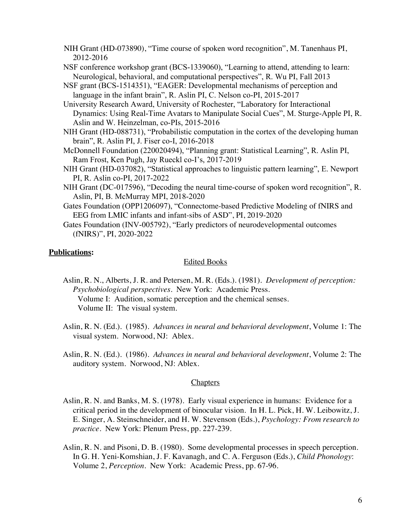- NIH Grant (HD-073890), "Time course of spoken word recognition", M. Tanenhaus PI, 2012-2016
- NSF conference workshop grant (BCS-1339060), "Learning to attend, attending to learn: Neurological, behavioral, and computational perspectives", R. Wu PI, Fall 2013
- NSF grant (BCS-1514351), "EAGER: Developmental mechanisms of perception and language in the infant brain", R. Aslin PI, C. Nelson co-PI, 2015-2017
- University Research Award, University of Rochester, "Laboratory for Interactional Dynamics: Using Real-Time Avatars to Manipulate Social Cues", M. Sturge-Apple PI, R. Aslin and W. Heinzelman, co-PIs, 2015-2016
- NIH Grant (HD-088731), "Probabilistic computation in the cortex of the developing human brain", R. Aslin PI, J. Fiser co-I, 2016-2018
- McDonnell Foundation (220020494), "Planning grant: Statistical Learning", R. Aslin PI, Ram Frost, Ken Pugh, Jay Rueckl co-I's, 2017-2019
- NIH Grant (HD-037082), "Statistical approaches to linguistic pattern learning", E. Newport PI, R. Aslin co-PI, 2017-2022
- NIH Grant (DC-017596), "Decoding the neural time-course of spoken word recognition", R. Aslin, PI, B. McMurray MPI, 2018-2020
- Gates Foundation (OPP1206097), "Connectome-based Predictive Modeling of fNIRS and EEG from LMIC infants and infant-sibs of ASD", PI, 2019-2020
- Gates Foundation (INV-005792), "Early predictors of neurodevelopmental outcomes (fNIRS)", PI, 2020-2022

## **Publications:**

#### Edited Books

- Aslin, R. N., Alberts, J. R. and Petersen, M. R. (Eds.). (1981). *Development of perception: Psychobiological perspectives*. New York: Academic Press. Volume I: Audition, somatic perception and the chemical senses. Volume II: The visual system.
- Aslin, R. N. (Ed.). (1985). *Advances in neural and behavioral development*, Volume 1: The visual system. Norwood, NJ: Ablex.
- Aslin, R. N. (Ed.). (1986). *Advances in neural and behavioral development*, Volume 2: The auditory system. Norwood, NJ: Ablex.

## **Chapters**

- Aslin, R. N. and Banks, M. S. (1978). Early visual experience in humans: Evidence for a critical period in the development of binocular vision. In H. L. Pick, H. W. Leibowitz, J. E. Singer, A. Steinschneider, and H. W. Stevenson (Eds.), *Psychology: From research to practice*. New York: Plenum Press, pp. 227-239.
- Aslin, R. N. and Pisoni, D. B. (1980). Some developmental processes in speech perception. In G. H. Yeni-Komshian, J. F. Kavanagh, and C. A. Ferguson (Eds.), *Child Phonology*: Volume 2, *Perception*. New York: Academic Press, pp. 67-96.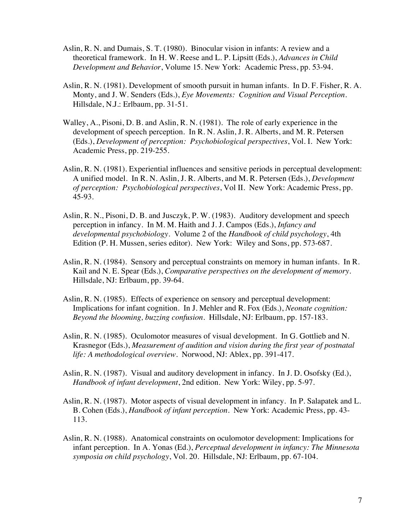- Aslin, R. N. and Dumais, S. T. (1980). Binocular vision in infants: A review and a theoretical framework. In H. W. Reese and L. P. Lipsitt (Eds.), *Advances in Child Development and Behavior*, Volume 15. New York: Academic Press, pp. 53-94.
- Aslin, R. N. (1981). Development of smooth pursuit in human infants. In D. F. Fisher, R. A. Monty, and J. W. Senders (Eds.), *Eye Movements: Cognition and Visual Perception*. Hillsdale, N.J.: Erlbaum, pp. 31-51.
- Walley, A., Pisoni, D. B. and Aslin, R. N. (1981). The role of early experience in the development of speech perception. In R. N. Aslin, J. R. Alberts, and M. R. Petersen (Eds.), *Development of perception: Psychobiological perspectives*, Vol. I. New York: Academic Press, pp. 219-255.
- Aslin, R. N. (1981). Experiential influences and sensitive periods in perceptual development: A unified model. In R. N. Aslin, J. R. Alberts, and M. R. Petersen (Eds.), *Development of perception: Psychobiological perspectives*, Vol II. New York: Academic Press, pp. 45-93.
- Aslin, R. N., Pisoni, D. B. and Jusczyk, P. W. (1983). Auditory development and speech perception in infancy. In M. M. Haith and J. J. Campos (Eds.), *Infancy and developmental psychobiology*. Volume 2 of the *Handbook of child psychology*, 4th Edition (P. H. Mussen, series editor). New York: Wiley and Sons, pp. 573-687.
- Aslin, R. N. (1984). Sensory and perceptual constraints on memory in human infants. In R. Kail and N. E. Spear (Eds.), *Comparative perspectives on the development of memory*. Hillsdale, NJ: Erlbaum, pp. 39-64.
- Aslin, R. N. (1985). Effects of experience on sensory and perceptual development: Implications for infant cognition. In J. Mehler and R. Fox (Eds.), *Neonate cognition: Beyond the blooming, buzzing confusion*. Hillsdale, NJ: Erlbaum, pp. 157-183.
- Aslin, R. N. (1985). Oculomotor measures of visual development. In G. Gottlieb and N. Krasnegor (Eds.), *Measurement of audition and vision during the first year of postnatal life: A methodological overview*. Norwood, NJ: Ablex, pp. 391-417.
- Aslin, R. N. (1987). Visual and auditory development in infancy. In J. D. Osofsky (Ed.), *Handbook of infant development*, 2nd edition. New York: Wiley, pp. 5-97.
- Aslin, R. N. (1987). Motor aspects of visual development in infancy. In P. Salapatek and L. B. Cohen (Eds.), *Handbook of infant perception*. New York: Academic Press, pp. 43- 113.
- Aslin, R. N. (1988). Anatomical constraints on oculomotor development: Implications for infant perception. In A. Yonas (Ed.), *Perceptual development in infancy: The Minnesota symposia on child psychology*, Vol. 20. Hillsdale, NJ: Erlbaum, pp. 67-104.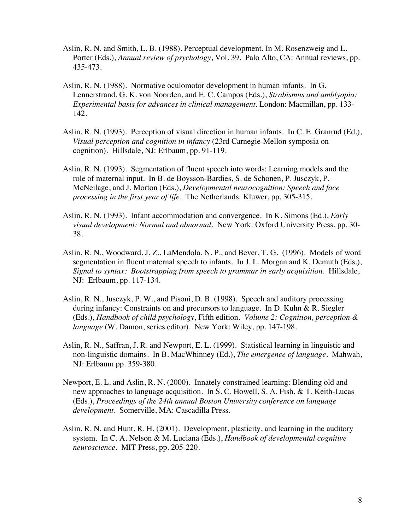- Aslin, R. N. and Smith, L. B. (1988). Perceptual development. In M. Rosenzweig and L. Porter (Eds.), *Annual review of psychology*, Vol. 39. Palo Alto, CA: Annual reviews, pp. 435-473.
- Aslin, R. N. (1988). Normative oculomotor development in human infants. In G. Lennerstrand, G. K. von Noorden, and E. C. Campos (Eds.), *Strabismus and amblyopia: Experimental basis for advances in clinical management*. London: Macmillan, pp. 133- 142.
- Aslin, R. N. (1993). Perception of visual direction in human infants. In C. E. Granrud (Ed.), *Visual perception and cognition in infancy* (23rd Carnegie-Mellon symposia on cognition). Hillsdale, NJ: Erlbaum, pp. 91-119.
- Aslin, R. N. (1993). Segmentation of fluent speech into words: Learning models and the role of maternal input. In B. de Boysson-Bardies, S. de Schonen, P. Jusczyk, P. McNeilage, and J. Morton (Eds.), *Developmental neurocognition: Speech and face processing in the first year of life*. The Netherlands: Kluwer, pp. 305-315.
- Aslin, R. N. (1993). Infant accommodation and convergence. In K. Simons (Ed.), *Early visual development: Normal and abnormal*. New York: Oxford University Press, pp. 30- 38.
- Aslin, R. N., Woodward, J. Z., LaMendola, N. P., and Bever, T. G. (1996). Models of word segmentation in fluent maternal speech to infants. In J. L. Morgan and K. Demuth (Eds.), *Signal to syntax: Bootstrapping from speech to grammar in early acquisition*. Hillsdale, NJ: Erlbaum, pp. 117-134.
- Aslin, R. N., Jusczyk, P. W., and Pisoni, D. B. (1998). Speech and auditory processing during infancy: Constraints on and precursors to language. In D. Kuhn & R. Siegler (Eds.), *Handbook of child psychology*, Fifth edition. *Volume 2: Cognition, perception & language* (W. Damon, series editor). New York: Wiley, pp. 147-198.
- Aslin, R. N., Saffran, J. R. and Newport, E. L. (1999). Statistical learning in linguistic and non-linguistic domains. In B. MacWhinney (Ed.), *The emergence of language*. Mahwah, NJ: Erlbaum pp. 359-380.
- Newport, E. L. and Aslin, R. N. (2000). Innately constrained learning: Blending old and new approaches to language acquisition. In S. C. Howell, S. A. Fish, & T. Keith-Lucas (Eds.), *Proceedings of the 24th annual Boston University conference on language development*. Somerville, MA: Cascadilla Press.
- Aslin, R. N. and Hunt, R. H. (2001). Development, plasticity, and learning in the auditory system. In C. A. Nelson & M. Luciana (Eds.), *Handbook of developmental cognitive neuroscience*. MIT Press, pp. 205-220.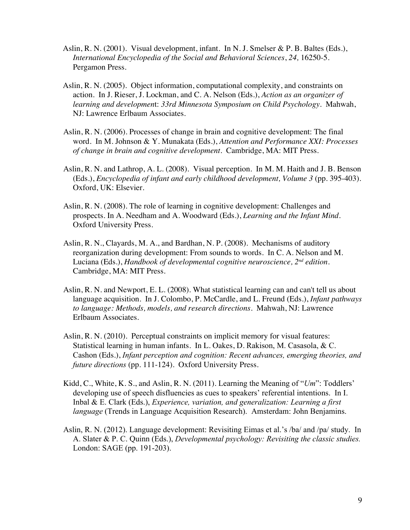- Aslin, R. N. (2001). Visual development, infant. In N. J. Smelser & P. B. Baltes (Eds.), *International Encyclopedia of the Social and Behavioral Sciences*, *24,* 16250-5. Pergamon Press.
- Aslin, R. N. (2005). Object information, computational complexity, and constraints on action. In J. Rieser, J. Lockman, and C. A. Nelson (Eds.), *Action as an organizer of learning and developmen*t: *33rd Minnesota Symposium on Child Psychology*. Mahwah, NJ: Lawrence Erlbaum Associates.
- Aslin, R. N. (2006). Processes of change in brain and cognitive development: The final word. In M. Johnson & Y. Munakata (Eds.), *Attention and Performance XXI: Processes of change in brain and cognitive development.* Cambridge, MA: MIT Press.
- Aslin, R. N. and Lathrop, A. L. (2008). Visual perception. In M. M. Haith and J. B. Benson (Eds.), *Encyclopedia of infant and early childhood development, Volume 3* (pp. 395-403)*.* Oxford, UK: Elsevier.
- Aslin, R. N. (2008). The role of learning in cognitive development: Challenges and prospects. In A. Needham and A. Woodward (Eds.), *Learning and the Infant Mind*. Oxford University Press.
- Aslin, R. N., Clayards, M. A., and Bardhan, N. P. (2008). Mechanisms of auditory reorganization during development: From sounds to words. In C. A. Nelson and M. Luciana (Eds.), *Handbook of developmental cognitive neuroscience, 2nd edition.* Cambridge, MA: MIT Press.
- Aslin, R. N. and Newport, E. L. (2008). What statistical learning can and can't tell us about language acquisition. In J. Colombo, P. McCardle, and L. Freund (Eds.), *Infant pathways to language: Methods, models, and research directions.* Mahwah, NJ: Lawrence Erlbaum Associates.
- Aslin, R. N. (2010). Perceptual constraints on implicit memory for visual features: Statistical learning in human infants. In L. Oakes, D. Rakison, M. Casasola, & C. Cashon (Eds.), *Infant perception and cognition: Recent advances, emerging theories, and future directions* (pp. 111-124). Oxford University Press.
- Kidd, C., White, K. S., and Aslin, R. N. (2011). Learning the Meaning of "*Um*": Toddlers' developing use of speech disfluencies as cues to speakers' referential intentions. In I. Inbal & E. Clark (Eds.), *Experience, variation, and generalization: Learning a first language* (Trends in Language Acquisition Research). Amsterdam: John Benjamins.
- Aslin, R. N. (2012). Language development: Revisiting Eimas et al.'s /ba/ and /pa/ study. In A. Slater & P. C. Quinn (Eds.), *Developmental psychology: Revisiting the classic studies.* London: SAGE (pp. 191-203).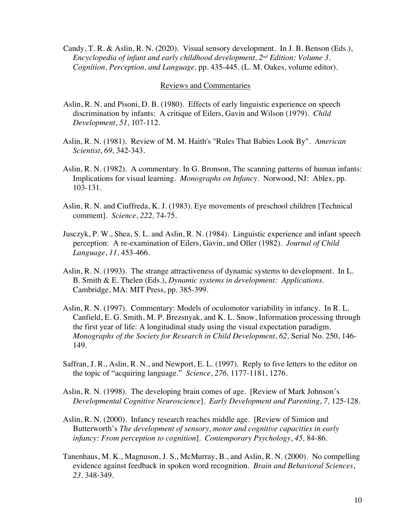Candy, T. R. & Aslin, R. N. (2020). Visual sensory development. In J. B. Benson (Eds.), *Encyclopedia of infant and early childhood development, 2nd Edition: Volume 3. Cognition, Perception, and Language,* pp. 435-445. (L. M. Oakes, volume editor).

#### Reviews and Commentaries

- Aslin, R. N. and Pisoni, D. B. (1980). Effects of early linguistic experience on speech discrimination by infants: A critique of Eilers, Gavin and Wilson (1979). *Child Development*, *51,* 107-112.
- Aslin, R. N. (1981). Review of M. M. Haith's "Rules That Babies Look By". *American Scientist*, *69,* 342-343.
- Aslin, R. N. (1982). A commentary. In G. Bronson, The scanning patterns of human infants: Implications for visual learning. *Monographs on Infancy*. Norwood, NJ: Ablex, pp. 103-131.
- Aslin, R. N. and Ciuffreda, K. J. (1983). Eye movements of preschool children [Technical comment]. *Science*, *222,* 74-75.
- Jusczyk, P. W., Shea, S. L. and Aslin, R. N. (1984). Linguistic experience and infant speech perception: A re-examination of Eilers, Gavin, and Oller (1982). *Journal of Child Language*, *11,* 453-466.
- Aslin, R. N. (1993). The strange attractiveness of dynamic systems to development. In L. B. Smith & E. Thelen (Eds.), *Dynamic systems in development: Applications*. Cambridge, MA: MIT Press, pp. 385-399.
- Aslin, R. N. (1997). Commentary: Models of oculomotor variability in infancy. In R. L. Canfield, E. G. Smith, M. P. Brezsnyak, and K. L. Snow, Information processing through the first year of life: A longitudinal study using the visual expectation paradigm. *Monographs of the Society for Research in Child Development*, *62,* Serial No. 250, 146- 149.
- Saffran, J. R., Aslin, R. N., and Newport, E. L. (1997). Reply to five letters to the editor on the topic of "acquiring language." *Science*, *276,* 1177-1181, 1276.
- Aslin, R. N. (1998). The developing brain comes of age. [Review of Mark Johnson's *Developmental Cognitive Neuroscience*]. *Early Development and Parenting*, *7,* 125-128.
- Aslin, R. N. (2000). Infancy research reaches middle age. [Review of Simion and Butterworth's *The development of sensory, motor and cognitive capacities in early infancy: From perception to cognition*]. *Contemporary Psychology*, *45,* 84-86.
- Tanenhaus, M. K., Magnuson, J. S., McMurray, B., and Aslin, R. N. (2000). No compelling evidence against feedback in spoken word recognition. *Brain and Behavioral Sciences*, *23,* 348-349.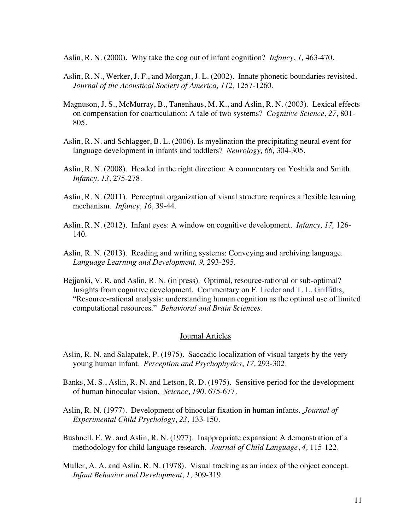Aslin, R. N. (2000). Why take the cog out of infant cognition? *Infancy*, *1,* 463-470.

- Aslin, R. N., Werker, J. F., and Morgan, J. L. (2002). Innate phonetic boundaries revisited. *Journal of the Acoustical Society of America, 112,* 1257-1260.
- Magnuson, J. S., McMurray, B., Tanenhaus, M. K., and Aslin, R. N. (2003). Lexical effects on compensation for coarticulation: A tale of two systems? *Cognitive Science*, *27,* 801- 805*.*
- Aslin, R. N. and Schlagger, B. L. (2006). Is myelination the precipitating neural event for language development in infants and toddlers? *Neurology, 66,* 304-305.
- Aslin, R. N. (2008). Headed in the right direction: A commentary on Yoshida and Smith. *Infancy, 13,* 275-278.
- Aslin, R. N. (2011). Perceptual organization of visual structure requires a flexible learning mechanism. *Infancy, 16,* 39-44.
- Aslin, R. N. (2012). Infant eyes: A window on cognitive development. *Infancy, 17,* 126- 140.
- Aslin, R. N. (2013). Reading and writing systems: Conveying and archiving language. *Language Learning and Development, 9,* 293-295.
- Bejjanki, V. R. and Aslin, R. N. (in press). Optimal, resource-rational or sub-optimal? Insights from cognitive development. Commentary on F. Lieder and T. L. Griffiths, "Resource-rational analysis: understanding human cognition as the optimal use of limited computational resources." *Behavioral and Brain Sciences.*

#### Journal Articles

- Aslin, R. N. and Salapatek, P. (1975). Saccadic localization of visual targets by the very young human infant. *Perception and Psychophysics*, *17,* 293-302.
- Banks, M. S., Aslin, R. N. and Letson, R. D. (1975). Sensitive period for the development of human binocular vision. *Science*, *190,* 675-677.
- Aslin, R. N. (1977). Development of binocular fixation in human infants. *Journal of Experimental Child Psychology*, *23,* 133-150.
- Bushnell, E. W. and Aslin, R. N. (1977). Inappropriate expansion: A demonstration of a methodology for child language research. *Journal of Child Language*, *4,* 115-122.
- Muller, A. A. and Aslin, R. N. (1978). Visual tracking as an index of the object concept. *Infant Behavior and Development*, *1,* 309-319.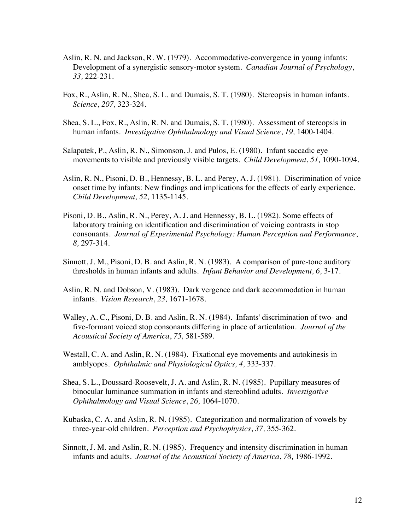- Aslin, R. N. and Jackson, R. W. (1979). Accommodative-convergence in young infants: Development of a synergistic sensory-motor system. *Canadian Journal of Psychology*, *33,* 222-231.
- Fox, R., Aslin, R. N., Shea, S. L. and Dumais, S. T. (1980). Stereopsis in human infants. *Science*, *207,* 323-324.
- Shea, S. L., Fox, R., Aslin, R. N. and Dumais, S. T. (1980). Assessment of stereopsis in human infants. *Investigative Ophthalmology and Visual Science*, *19,* 1400-1404.
- Salapatek, P., Aslin, R. N., Simonson, J. and Pulos, E. (1980). Infant saccadic eye movements to visible and previously visible targets. *Child Development*, *51,* 1090-1094.
- Aslin, R. N., Pisoni, D. B., Hennessy, B. L. and Perey, A. J. (1981). Discrimination of voice onset time by infants: New findings and implications for the effects of early experience. *Child Development, 52,* 1135-1145.
- Pisoni, D. B., Aslin, R. N., Perey, A. J. and Hennessy, B. L. (1982). Some effects of laboratory training on identification and discrimination of voicing contrasts in stop consonants. *Journal of Experimental Psychology: Human Perception and Performance*, *8,* 297-314.
- Sinnott, J. M., Pisoni, D. B. and Aslin, R. N. (1983). A comparison of pure-tone auditory thresholds in human infants and adults. *Infant Behavior and Development, 6,* 3-17.
- Aslin, R. N. and Dobson, V. (1983). Dark vergence and dark accommodation in human infants. *Vision Research*, *23,* 1671-1678.
- Walley, A. C., Pisoni, D. B. and Aslin, R. N. (1984). Infants' discrimination of two- and five-formant voiced stop consonants differing in place of articulation. *Journal of the Acoustical Society of America*, *75,* 581-589.
- Westall, C. A. and Aslin, R. N. (1984). Fixational eye movements and autokinesis in amblyopes. *Ophthalmic and Physiological Optics, 4,* 333-337.
- Shea, S. L., Doussard-Roosevelt, J. A. and Aslin, R. N. (1985). Pupillary measures of binocular luminance summation in infants and stereoblind adults. *Investigative Ophthalmology and Visual Science*, *26,* 1064-1070.
- Kubaska, C. A. and Aslin, R. N. (1985). Categorization and normalization of vowels by three-year-old children. *Perception and Psychophysics*, *37,* 355-362.
- Sinnott, J. M. and Aslin, R. N. (1985). Frequency and intensity discrimination in human infants and adults. *Journal of the Acoustical Society of America*, *78,* 1986-1992.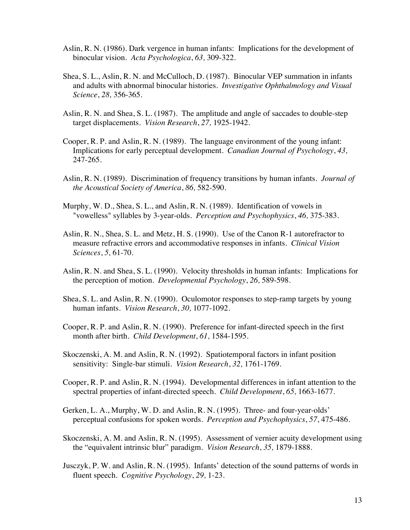- Aslin, R. N. (1986). Dark vergence in human infants: Implications for the development of binocular vision. *Acta Psychologica*, *63,* 309-322.
- Shea, S. L., Aslin, R. N. and McCulloch, D. (1987). Binocular VEP summation in infants and adults with abnormal binocular histories. *Investigative Ophthalmology and Visual Science*, *28,* 356-365.
- Aslin, R. N. and Shea, S. L. (1987). The amplitude and angle of saccades to double-step target displacements. *Vision Research*, *27,* 1925-1942.
- Cooper, R. P. and Aslin, R. N. (1989). The language environment of the young infant: Implications for early perceptual development. *Canadian Journal of Psychology*, *43,* 247-265.
- Aslin, R. N. (1989). Discrimination of frequency transitions by human infants. *Journal of the Acoustical Society of America*, *86,* 582-590.
- Murphy, W. D., Shea, S. L., and Aslin, R. N. (1989). Identification of vowels in "vowelless" syllables by 3-year-olds. *Perception and Psychophysics*, *46,* 375-383.
- Aslin, R. N., Shea, S. L. and Metz, H. S. (1990). Use of the Canon R-1 autorefractor to measure refractive errors and accommodative responses in infants. *Clinical Vision Sciences*, *5,* 61-70.
- Aslin, R. N. and Shea, S. L. (1990). Velocity thresholds in human infants: Implications for the perception of motion. *Developmental Psychology*, *26,* 589-598.
- Shea, S. L. and Aslin, R. N. (1990). Oculomotor responses to step-ramp targets by young human infants. *Vision Research*, *30,* 1077-1092.
- Cooper, R. P. and Aslin, R. N. (1990). Preference for infant-directed speech in the first month after birth. *Child Development*, *61,* 1584-1595.
- Skoczenski, A. M. and Aslin, R. N. (1992). Spatiotemporal factors in infant position sensitivity: Single-bar stimuli. *Vision Research*, *32,* 1761-1769.
- Cooper, R. P. and Aslin, R. N. (1994). Developmental differences in infant attention to the spectral properties of infant-directed speech. *Child Development*, *65,* 1663-1677.
- Gerken, L. A., Murphy, W. D. and Aslin, R. N. (1995). Three- and four-year-olds' perceptual confusions for spoken words. *Perception and Psychophysics*, *57*, 475-486.
- Skoczenski, A. M. and Aslin, R. N. (1995). Assessment of vernier acuity development using the "equivalent intrinsic blur" paradigm. *Vision Research*, *35,* 1879-1888.
- Jusczyk, P. W. and Aslin, R. N. (1995). Infants' detection of the sound patterns of words in fluent speech. *Cognitive Psychology*, *29,* 1-23.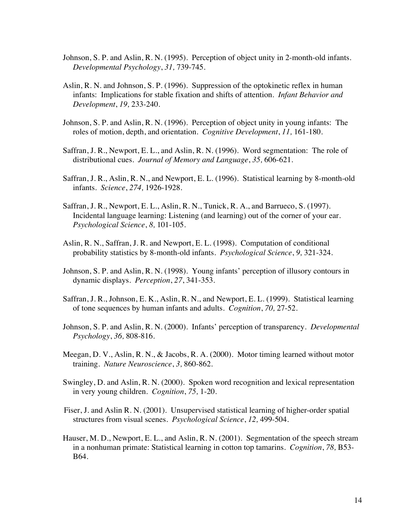- Johnson, S. P. and Aslin, R. N. (1995). Perception of object unity in 2-month-old infants. *Developmental Psychology*, *31,* 739-745.
- Aslin, R. N. and Johnson, S. P. (1996). Suppression of the optokinetic reflex in human infants: Implications for stable fixation and shifts of attention. *Infant Behavior and Development*, *19,* 233-240.
- Johnson, S. P. and Aslin, R. N. (1996). Perception of object unity in young infants: The roles of motion, depth, and orientation. *Cognitive Development*, *11,* 161-180.
- Saffran, J. R., Newport, E. L., and Aslin, R. N. (1996). Word segmentation: The role of distributional cues. *Journal of Memory and Language*, *35,* 606-621.
- Saffran, J. R., Aslin, R. N., and Newport, E. L. (1996). Statistical learning by 8-month-old infants. *Science*, *274,* 1926-1928.
- Saffran, J. R., Newport, E. L., Aslin, R. N., Tunick, R. A., and Barrueco, S. (1997). Incidental language learning: Listening (and learning) out of the corner of your ear. *Psychological Science*, *8,* 101-105.
- Aslin, R. N., Saffran, J. R. and Newport, E. L. (1998). Computation of conditional probability statistics by 8-month-old infants. *Psychological Science*, *9,* 321-324.
- Johnson, S. P. and Aslin, R. N. (1998). Young infants' perception of illusory contours in dynamic displays. *Perception*, *27*, 341-353.
- Saffran, J. R., Johnson, E. K., Aslin, R. N., and Newport, E. L. (1999). Statistical learning of tone sequences by human infants and adults. *Cognition*, *70,* 27-52.
- Johnson, S. P. and Aslin, R. N. (2000). Infants' perception of transparency. *Developmental Psychology*, *36,* 808-816.
- Meegan, D. V., Aslin, R. N., & Jacobs, R. A. (2000). Motor timing learned without motor training. *Nature Neuroscience*, *3,* 860-862.
- Swingley, D. and Aslin, R. N. (2000). Spoken word recognition and lexical representation in very young children. *Cognition*, *75,* 1-20.
- Fiser, J. and Aslin R. N. (2001). Unsupervised statistical learning of higher-order spatial structures from visual scenes. *Psychological Science*, *12,* 499-504.
- Hauser, M. D., Newport, E. L., and Aslin, R. N. (2001). Segmentation of the speech stream in a nonhuman primate: Statistical learning in cotton top tamarins. *Cognition*, *78,* B53- B64.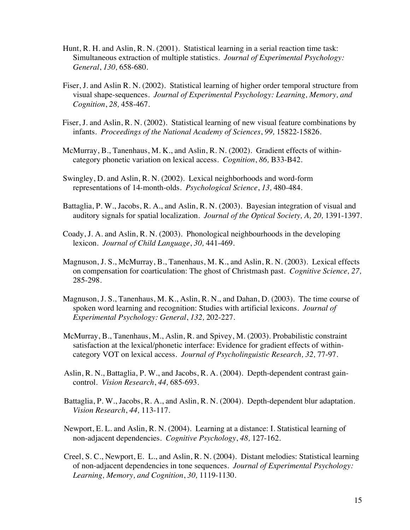- Hunt, R. H. and Aslin, R. N. (2001). Statistical learning in a serial reaction time task: Simultaneous extraction of multiple statistics. *Journal of Experimental Psychology: General*, *130,* 658-680.
- Fiser, J. and Aslin R. N. (2002). Statistical learning of higher order temporal structure from visual shape-sequences. *Journal of Experimental Psychology: Learning, Memory, and Cognition*, *28,* 458-467.
- Fiser, J. and Aslin, R. N. (2002). Statistical learning of new visual feature combinations by infants. *Proceedings of the National Academy of Sciences*, *99,* 15822-15826.
- McMurray, B., Tanenhaus, M. K., and Aslin, R. N. (2002). Gradient effects of withincategory phonetic variation on lexical access. *Cognition*, *86,* B33-B42.
- Swingley, D. and Aslin, R. N. (2002). Lexical neighborhoods and word-form representations of 14-month-olds. *Psychological Science*, *13,* 480-484*.*
- Battaglia, P. W., Jacobs, R. A., and Aslin, R. N. (2003). Bayesian integration of visual and auditory signals for spatial localization. *Journal of the Optical Society, A, 20,* 1391-1397.
- Coady, J. A. and Aslin, R. N. (2003). Phonological neighbourhoods in the developing lexicon. *Journal of Child Language*, *30,* 441-469.
- Magnuson, J. S., McMurray, B., Tanenhaus, M. K., and Aslin, R. N. (2003). Lexical effects on compensation for coarticulation: The ghost of Christmash past. *Cognitive Science, 27,* 285-298.
- Magnuson, J. S., Tanenhaus, M. K., Aslin, R. N., and Dahan, D. (2003). The time course of spoken word learning and recognition: Studies with artificial lexicons. *Journal of Experimental Psychology: General*, *132,* 202-227.
- McMurray, B., Tanenhaus, M., Aslin, R. and Spivey, M. (2003). Probabilistic constraint satisfaction at the lexical/phonetic interface: Evidence for gradient effects of withincategory VOT on lexical access. *Journal of Psycholinguistic Research, 32,* 77-97.
- Aslin, R. N., Battaglia, P. W., and Jacobs, R. A. (2004). Depth-dependent contrast gaincontrol. *Vision Research*, *44,* 685-693.
- Battaglia, P. W., Jacobs, R. A., and Aslin, R. N. (2004). Depth-dependent blur adaptation. *Vision Research*, *44,* 113-117.
- Newport, E. L. and Aslin, R. N. (2004). Learning at a distance: I. Statistical learning of non-adjacent dependencies. *Cognitive Psychology*, *48,* 127-162.
- Creel, S. C., Newport, E. L., and Aslin, R. N. (2004). Distant melodies: Statistical learning of non-adjacent dependencies in tone sequences. *Journal of Experimental Psychology: Learning, Memory, and Cognition*, *30,* 1119-1130.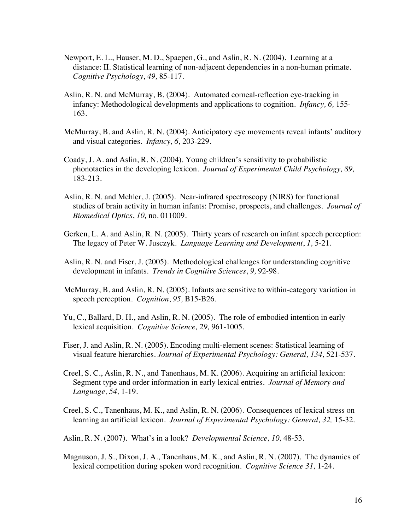- Newport, E. L., Hauser, M. D., Spaepen, G., and Aslin, R. N. (2004). Learning at a distance: II. Statistical learning of non-adjacent dependencies in a non-human primate. *Cognitive Psychology*, *49,* 85-117.
- Aslin, R. N. and McMurray, B. (2004). Automated corneal-reflection eye-tracking in infancy: Methodological developments and applications to cognition. *Infancy, 6,* 155- 163*.*
- McMurray, B. and Aslin, R. N. (2004). Anticipatory eye movements reveal infants' auditory and visual categories. *Infancy, 6,* 203-229*.*
- Coady, J. A. and Aslin, R. N. (2004). Young children's sensitivity to probabilistic phonotactics in the developing lexicon. *Journal of Experimental Child Psychology, 89,* 183-213*.*
- Aslin, R. N. and Mehler, J. (2005). Near-infrared spectroscopy (NIRS) for functional studies of brain activity in human infants: Promise, prospects, and challenges. *Journal of Biomedical Optics*, *10,* no. 011009*.*
- Gerken, L. A. and Aslin, R. N. (2005). Thirty years of research on infant speech perception: The legacy of Peter W. Jusczyk. *Language Learning and Development*, *1,* 5-21*.*
- Aslin, R. N. and Fiser, J. (2005). Methodological challenges for understanding cognitive development in infants. *Trends in Cognitive Sciences*, *9,* 92-98.
- McMurray, B. and Aslin, R. N. (2005). Infants are sensitive to within-category variation in speech perception. *Cognition*, *95,* B15-B26*.*
- Yu, C., Ballard, D. H., and Aslin, R. N. (2005). The role of embodied intention in early lexical acquisition. *Cognitive Science, 29,* 961-1005.
- Fiser, J. and Aslin, R. N. (2005). Encoding multi-element scenes: Statistical learning of visual feature hierarchies. *Journal of Experimental Psychology: General, 134,* 521-537.
- Creel, S. C., Aslin, R. N., and Tanenhaus, M. K. (2006). Acquiring an artificial lexicon: Segment type and order information in early lexical entries. *Journal of Memory and Language, 54,* 1-19.
- Creel, S. C., Tanenhaus, M. K., and Aslin, R. N. (2006). Consequences of lexical stress on learning an artificial lexicon. *Journal of Experimental Psychology: General, 32,* 15-32.
- Aslin, R. N. (2007). What's in a look? *Developmental Science, 10,* 48-53.
- Magnuson, J. S., Dixon, J. A., Tanenhaus, M. K., and Aslin, R. N. (2007). The dynamics of lexical competition during spoken word recognition. *Cognitive Science 31,* 1-24*.*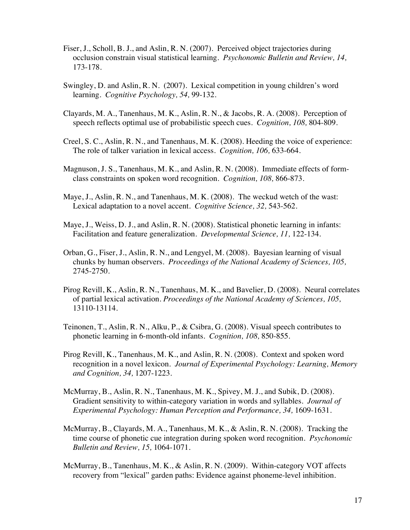- Fiser, J., Scholl, B. J., and Aslin, R. N. (2007). Perceived object trajectories during occlusion constrain visual statistical learning. *Psychonomic Bulletin and Review, 14,* 173-178*.*
- Swingley, D. and Aslin, R. N. (2007). Lexical competition in young children's word learning. *Cognitive Psychology, 54,* 99-132.
- Clayards, M. A., Tanenhaus, M. K., Aslin, R. N., & Jacobs, R. A. (2008). Perception of speech reflects optimal use of probabilistic speech cues. *Cognition, 108,* 804-809.
- Creel, S. C., Aslin, R. N., and Tanenhaus, M. K. (2008). Heeding the voice of experience: The role of talker variation in lexical access. *Cognition, 106,* 633-664.
- Magnuson, J. S., Tanenhaus, M. K., and Aslin, R. N. (2008). Immediate effects of formclass constraints on spoken word recognition. *Cognition, 108,* 866-873.
- Maye, J., Aslin, R. N., and Tanenhaus, M. K. (2008). The weckud wetch of the wast: Lexical adaptation to a novel accent. *Cognitive Science, 32,* 543-562.
- Maye, J., Weiss, D. J., and Aslin, R. N. (2008). Statistical phonetic learning in infants: Facilitation and feature generalization. *Developmental Science, 11,* 122-134.
- Orban, G., Fiser, J., Aslin, R. N., and Lengyel, M. (2008). Bayesian learning of visual chunks by human observers. *Proceedings of the National Academy of Sciences, 105,*  2745-2750.
- Pirog Revill, K., Aslin, R. N., Tanenhaus, M. K., and Bavelier, D. (2008). Neural correlates of partial lexical activation. *Proceedings of the National Academy of Sciences, 105,*  13110-13114*.*
- Teinonen, T., Aslin, R. N., Alku, P., & Csibra, G. (2008). Visual speech contributes to phonetic learning in 6-month-old infants. *Cognition, 108,* 850-855.
- Pirog Revill, K., Tanenhaus, M. K., and Aslin, R. N. (2008). Context and spoken word recognition in a novel lexicon. *Journal of Experimental Psychology: Learning, Memory and Cognition, 34,* 1207-1223.
- McMurray, B., Aslin, R. N., Tanenhaus, M. K., Spivey, M. J., and Subik, D. (2008). Gradient sensitivity to within-category variation in words and syllables. *Journal of Experimental Psychology: Human Perception and Performance, 34, 1609-1631.*
- McMurray, B., Clayards, M. A., Tanenhaus, M. K., & Aslin, R. N. (2008). Tracking the time course of phonetic cue integration during spoken word recognition. *Psychonomic Bulletin and Review, 15,* 1064-1071.
- McMurray, B., Tanenhaus, M. K., & Aslin, R. N. (2009). Within-category VOT affects recovery from "lexical" garden paths: Evidence against phoneme-level inhibition.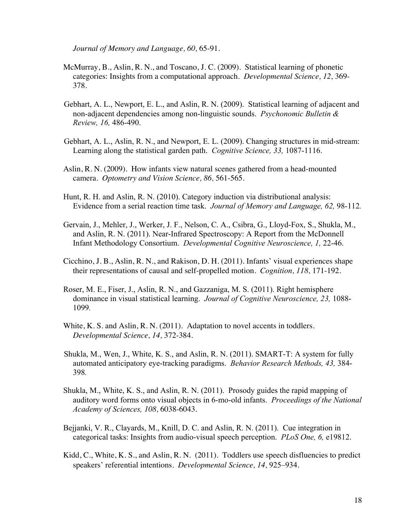*Journal of Memory and Language, 60,* 65-91.

- McMurray, B., Aslin, R. N., and Toscano, J. C. (2009). Statistical learning of phonetic categories: Insights from a computational approach. *Developmental Science, 12,* 369- 378.
- Gebhart, A. L., Newport, E. L., and Aslin, R. N. (2009). Statistical learning of adjacent and non-adjacent dependencies among non-linguistic sounds. *Psychonomic Bulletin & Review, 16,* 486-490.
- Gebhart, A. L., Aslin, R. N., and Newport, E. L. (2009). Changing structures in mid-stream: Learning along the statistical garden path. *Cognitive Science, 33,* 1087-1116.
- Aslin, R. N. (2009). How infants view natural scenes gathered from a head-mounted camera. *Optometry and Vision Science, 86,* 561-565*.*
- Hunt, R. H. and Aslin, R. N. (2010). Category induction via distributional analysis: Evidence from a serial reaction time task. *Journal of Memory and Language, 62,* 98-112*.*
- Gervain, J., Mehler, J., Werker, J. F., Nelson, C. A., Csibra, G., Lloyd-Fox, S., Shukla, M., and Aslin, R. N. (2011). Near-Infrared Spectroscopy: A Report from the McDonnell Infant Methodology Consortium. *Developmental Cognitive Neuroscience, 1,* 22-46.
- Cicchino, J. B., Aslin, R. N., and Rakison, D. H. (2011). Infants' visual experiences shape their representations of causal and self-propelled motion. *Cognition, 118,* 171-192*.*
- Roser, M. E., Fiser, J., Aslin, R. N., and Gazzaniga, M. S. (2011). Right hemisphere dominance in visual statistical learning. *Journal of Cognitive Neuroscience, 23,* 1088- 1099*.*
- White, K. S. and Aslin, R. N. (2011). Adaptation to novel accents in toddlers. *Developmental Science, 14,* 372-384.
- Shukla, M., Wen, J., White, K. S., and Aslin, R. N. (2011). SMART-T: A system for fully automated anticipatory eye-tracking paradigms. *Behavior Research Methods, 43,* 384- 398*.*
- Shukla, M., White, K. S., and Aslin, R. N. (2011). Prosody guides the rapid mapping of auditory word forms onto visual objects in 6-mo-old infants. *Proceedings of the National Academy of Sciences, 108,* 6038-6043.
- Bejjanki, V. R., Clayards, M., Knill, D. C. and Aslin, R. N. (2011). Cue integration in categorical tasks: Insights from audio-visual speech perception. *PLoS One, 6,* e19812.
- Kidd, C., White, K. S., and Aslin, R. N. (2011). Toddlers use speech disfluencies to predict speakers' referential intentions. *Developmental Science, 14,* 925–934*.*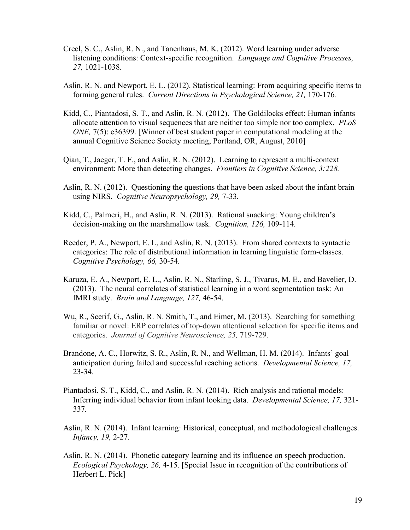- Creel, S. C., Aslin, R. N., and Tanenhaus, M. K. (2012). Word learning under adverse listening conditions: Context-specific recognition. *Language and Cognitive Processes, 27,* 1021-1038*.*
- Aslin, R. N. and Newport, E. L. (2012). Statistical learning: From acquiring specific items to forming general rules. *Current Directions in Psychological Science, 21,* 170-176*.*
- Kidd, C., Piantadosi, S. T., and Aslin, R. N. (2012). The Goldilocks effect: Human infants allocate attention to visual sequences that are neither too simple nor too complex. *PLoS ONE,* 7(5): e36399. [Winner of best student paper in computational modeling at the annual Cognitive Science Society meeting, Portland, OR, August, 2010]
- Qian, T., Jaeger, T. F., and Aslin, R. N. (2012). Learning to represent a multi-context environment: More than detecting changes. *Frontiers in Cognitive Science, 3:228.*
- Aslin, R. N. (2012). Questioning the questions that have been asked about the infant brain using NIRS. *Cognitive Neuropsychology, 29,* 7-33*.*
- Kidd, C., Palmeri, H., and Aslin, R. N. (2013). Rational snacking: Young children's decision-making on the marshmallow task. *Cognition, 126,* 109-114*.*
- Reeder, P. A., Newport, E. L, and Aslin, R. N. (2013). From shared contexts to syntactic categories: The role of distributional information in learning linguistic form-classes. *Cognitive Psychology, 66,* 30-54*.*
- Karuza, E. A., Newport, E. L., Aslin, R. N., Starling, S. J., Tivarus, M. E., and Bavelier, D. (2013). The neural correlates of statistical learning in a word segmentation task: An fMRI study. *Brain and Language, 127,* 46-54.
- Wu, R., Scerif, G., Aslin, R. N. Smith, T., and Eimer, M. (2013). Searching for something familiar or novel: ERP correlates of top-down attentional selection for specific items and categories. *Journal of Cognitive Neuroscience, 25,* 719-729.
- Brandone, A. C., Horwitz, S. R., Aslin, R. N., and Wellman, H. M. (2014). Infants' goal anticipation during failed and successful reaching actions. *Developmental Science, 17,*  23-34*.*
- Piantadosi, S. T., Kidd, C., and Aslin, R. N. (2014). Rich analysis and rational models: Inferring individual behavior from infant looking data. *Developmental Science, 17,* 321- 337*.*
- Aslin, R. N. (2014).Infant learning: Historical, conceptual, and methodological challenges. *Infancy, 19,* 2-27*.*
- Aslin, R. N. (2014). Phonetic category learning and its influence on speech production. *Ecological Psychology, 26,* 4-15. [Special Issue in recognition of the contributions of Herbert L. Pick]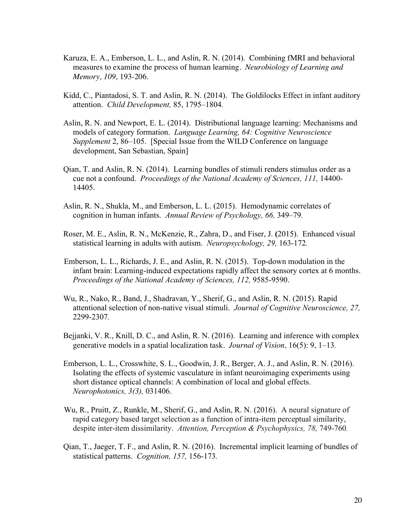- Karuza, E. A., Emberson, L. L., and Aslin, R. N. (2014). Combining fMRI and behavioral measures to examine the process of human learning. *Neurobiology of Learning and Memory, 109,* 193-206*.*
- Kidd, C., Piantadosi, S. T. and Aslin, R. N. (2014). The Goldilocks Effect in infant auditory attention. *Child Development,* 85, 1795–1804*.*
- Aslin, R. N. and Newport, E. L. (2014). Distributional language learning: Mechanisms and models of category formation. *Language Learning, 64: Cognitive Neuroscience Supplement* 2, 86–105. [Special Issue from the WILD Conference on language development, San Sebastian, Spain]
- Qian, T. and Aslin, R. N. (2014). Learning bundles of stimuli renders stimulus order as a cue not a confound. *Proceedings of the National Academy of Sciences, 111,* 14400- 14405.
- Aslin, R. N., Shukla, M., and Emberson, L. L. (2015). Hemodynamic correlates of cognition in human infants. *Annual Review of Psychology, 66,* 349–79*.*
- Roser, M. E., Aslin, R. N., McKenzie, R., Zahra, D., and Fiser, J. **(**2015). Enhanced visual statistical learning in adults with autism. *Neuropsychology, 29,* 163-172*.*
- Emberson, L. L., Richards, J. E., and Aslin, R. N. (2015). Top-down modulation in the infant brain: Learning-induced expectations rapidly affect the sensory cortex at 6 months. *Proceedings of the National Academy of Sciences, 112,* 9585-9590.
- Wu, R., Nako, R., Band, J., Shadravan, Y., Sherif, G., and Aslin, R. N. (2015). Rapid attentional selection of non-native visual stimuli. *Journal of Cognitive Neuroscience, 27,*  2299-2307*.*
- Bejjanki, V. R., Knill, D. C., and Aslin, R. N. (2016). Learning and inference with complex generative models in a spatial localization task. *Journal of Vision,* 16(5): 9, 1–13*.*
- Emberson, L. L., Crosswhite, S. L., Goodwin, J. R., Berger, A. J., and Aslin, R. N. (2016). Isolating the effects of systemic vasculature in infant neuroimaging experiments using short distance optical channels: A combination of local and global effects. *Neurophotonics, 3(3),* 031406.
- Wu, R., Pruitt, Z., Runkle, M., Sherif, G., and Aslin, R. N. (2016). A neural signature of rapid category based target selection as a function of intra-item perceptual similarity, despite inter-item dissimilarity. Attention, Perception & Psychophysics, 78, 749-760.
- Qian, T., Jaeger, T. F., and Aslin, R. N. (2016). Incremental implicit learning of bundles of statistical patterns. *Cognition, 157,* 156-173*.*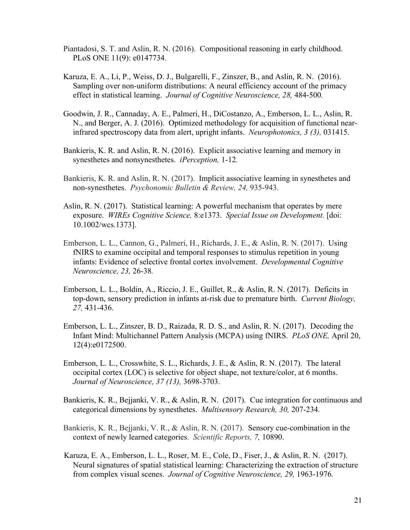- Piantadosi, S. T. and Aslin, R. N. (2016). Compositional reasoning in early childhood. PLoS ONE 11(9): e0147734.
- Karuza, E. A., Li, P., Weiss, D. J., Bulgarelli, F., Zinszer, B., and Aslin, R. N. (2016). Sampling over non-uniform distributions: A neural efficiency account of the primacy effect in statistical learning. *Journal of Cognitive Neuroscience, 28,* 484-500*.*
- Goodwin, J. R., Cannaday, A. E., Palmeri, H., DiCostanzo, A., Emberson, L. L., Aslin, R. N., and Berger, A. J. (2016). Optimized methodology for acquisition of functional nearinfrared spectroscopy data from alert, upright infants. *Neurophotonics, 3 (3),* 031415.
- Bankieris, K. R. and Aslin, R. N. (2016). Explicit associative learning and memory in synesthetes and nonsynesthetes. *iPerception,* 1-12*.*
- Bankieris, K. R. and Aslin, R. N. (2017). Implicit associative learning in synesthetes and non-synesthetes. *Psychonomic Bulletin & Review, 24,* 935-943*.*
- Aslin, R. N. (2017). Statistical learning: A powerful mechanism that operates by mere exposure. *WIREs Cognitive Science,* 8:e1373. *Special Issue on Development.* [doi: 10.1002/wcs.1373].
- Emberson, L. L., Cannon, G., Palmeri, H., Richards, J. E., & Aslin, R. N. (2017). Using fNIRS to examine occipital and temporal responses to stimulus repetition in young infants: Evidence of selective frontal cortex involvement. *Developmental Cognitive Neuroscience, 23,* 26-38*.*
- Emberson, L. L., Boldin, A., Riccio, J. E., Guillet, R., & Aslin, R. N. (2017). Deficits in top-down, sensory prediction in infants at-risk due to premature birth. *Current Biology, 27,* 431-436.
- Emberson, L. L., Zinszer, B. D., Raizada, R. D. S., and Aslin, R. N. (2017).Decoding the Infant Mind: Multichannel Pattern Analysis (MCPA) using fNIRS. *PLoS ONE,* April 20, 12(4):e0172500.
- Emberson, L. L., Crosswhite, S. L., Richards, J. E., & Aslin, R. N. (2017). The lateral occipital cortex (LOC) is selective for object shape, not texture/color, at 6 months. *Journal of Neuroscience, 37 (13),* 3698-3703.
- Bankieris, K. R., Bejjanki, V. R., & Aslin, R. N. (2017). Cue integration for continuous and categorical dimensions by synesthetes. *Multisensory Research, 30,* 207-234*.*
- Bankieris, K. R., Bejjanki, V. R., & Aslin, R. N. (2017). Sensory cue-combination in the context of newly learned categories. *Scientific Reports, 7,* 10890.
- Karuza, E. A., Emberson, L. L., Roser, M. E., Cole, D., Fiser, J., & Aslin, R. N. (2017). Neural signatures of spatial statistical learning: Characterizing the extraction of structure from complex visual scenes. *Journal of Cognitive Neuroscience, 29,* 1963-1976*.*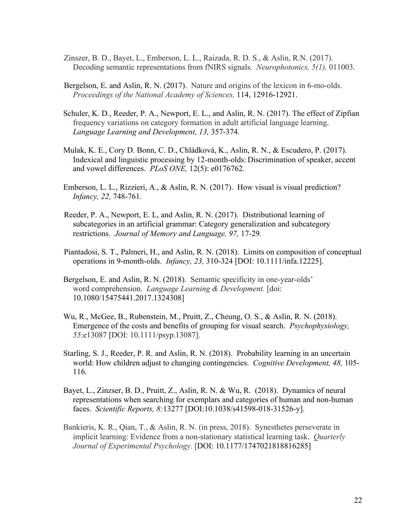- Zinszer, B. D., Bayet, L., Emberson, L. L., Raizada, R. D. S., & Aslin, R.N. (2017). Decoding semantic representations from fNIRS signals. *Neurophotonics, 5(1),* 011003.
- Bergelson, E. and Aslin, R. N. (2017). Nature and origins of the lexicon in 6-mo-olds. *Proceedings of the National Academy of Sciences,* 114, 12916-12921.
- Schuler, K. D., Reeder, P. A., Newport, E. L., and Aslin, R. N. (2017). The effect of Zipfian frequency variations on category formation in adult artificial language learning. *Language Learning and Development, 13,* 357-374*.*
- Mulak, K. E., Cory D. Bonn, C. D., Chládková, K., Aslin, R. N., & Escudero, P. (2017). Indexical and linguistic processing by 12-month-olds: Discrimination of speaker, accent and vowel differences. *PLoS ONE,* 12(5): e0176762*.*
- Emberson, L. L., Rizzieri, A., & Aslin, R. N. (2017). How visual is visual prediction? *Infancy, 22,* 748-761*.*
- Reeder, P. A., Newport, E. L, and Aslin, R. N. (2017). Distributional learning of subcategories in an artificial grammar: Category generalization and subcategory restrictions. *Journal of Memory and Language, 97,* 17-29*.*
- Piantadosi, S. T., Palmeri, H., and Aslin, R. N. (2018). Limits on composition of conceptual operations in 9-month-olds. *Infancy, 23,* 310-324 [DOI: 10.1111/infa.12225].
- Bergelson, E. and Aslin, R. N. (2018). Semantic specificity in one-year-olds' word comprehension. *Language Learning & Development.* [doi: 10.1080/15475441.2017.1324308]
- Wu, R., McGee, B., Rubenstein, M., Pruitt, Z., Cheung, O. S., & Aslin, R. N. (2018). Emergence of the costs and benefits of grouping for visual search. *Psychophysiology, 55*:e13087 [DOI: 10.1111/psyp.13087].
- Starling, S. J., Reeder, P. R. and Aslin, R. N. (2018). Probability learning in an uncertain world: How children adjust to changing contingencies. *Cognitive Development, 48,* 105- 116*.*
- Bayet, L., Zinzser, B. D., Pruitt, Z., Aslin, R. N. & Wu, R. (2018). Dynamics of neural representations when searching for exemplars and categories of human and non-human faces. *Scientific Reports, 8:*13277 [DOI:10.1038/s41598-018-31526-y].
- Bankieris, K. R., Qian, T., & Aslin, R. N. (in press, 2018). Synesthetes perseverate in implicit learning: Evidence from a non-stationary statistical learning task. *Quarterly Journal of Experimental Psychology.* [DOI: 10.1177/1747021818816285]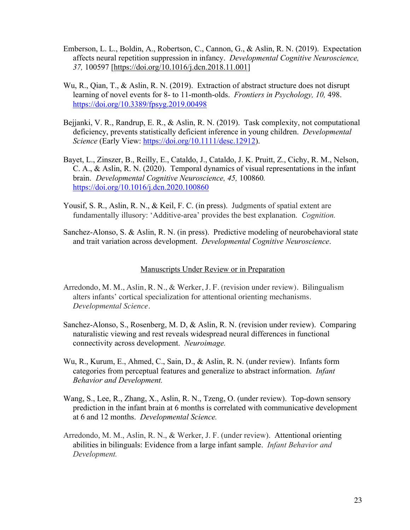- Emberson, L. L., Boldin, A., Robertson, C., Cannon, G., & Aslin, R. N. (2019). Expectation affects neural repetition suppression in infancy. *Developmental Cognitive Neuroscience, 37,* 100597 [https://doi.org/10.1016/j.dcn.2018.11.001]
- Wu, R., Qian, T., & Aslin, R. N. (2019). Extraction of abstract structure does not disrupt learning of novel events for 8- to 11-month-olds. *Frontiers in Psychology, 10,* 498. https://doi.org/10.3389/fpsyg.2019.00498
- Bejjanki, V. R., Randrup, E. R., & Aslin, R. N. (2019). Task complexity, not computational deficiency, prevents statistically deficient inference in young children. *Developmental Science* (Early View: https://doi.org/10.1111/desc.12912).
- Bayet, L., Zinszer, B., Reilly, E., Cataldo, J., Cataldo, J. K. Pruitt, Z., Cichy, R. M., Nelson, C. A., & Aslin, R. N. (2020). Temporal dynamics of visual representations in the infant brain. *Developmental Cognitive Neuroscience, 45,* 100860*.*  https://doi.org/10.1016/j.dcn.2020.100860
- Yousif, S. R., Aslin, R. N., & Keil, F. C. (in press). Judgments of spatial extent are fundamentally illusory: 'Additive-area' provides the best explanation. *Cognition.*
- Sanchez-Alonso, S. & Aslin, R. N. (in press).Predictive modeling of neurobehavioral state and trait variation across development. *Developmental Cognitive Neuroscience*.

# Manuscripts Under Review or in Preparation

- Arredondo, M. M., Aslin, R. N., & Werker, J. F. (revision under review). Bilingualism alters infants' cortical specialization for attentional orienting mechanisms. *Developmental Science.*
- Sanchez-Alonso, S., Rosenberg, M. D, & Aslin, R. N. (revision under review). Comparing naturalistic viewing and rest reveals widespread neural differences in functional connectivity across development. *Neuroimage.*
- Wu, R., Kurum, E., Ahmed, C., Sain, D., & Aslin, R. N. (under review). Infants form categories from perceptual features and generalize to abstract information. *Infant Behavior and Development.*
- Wang, S., Lee, R., Zhang, X., Aslin, R. N., Tzeng, O. (under review). Top-down sensory prediction in the infant brain at 6 months is correlated with communicative development at 6 and 12 months. *Developmental Science.*
- Arredondo, M. M., Aslin, R. N., & Werker, J. F. (under review). Attentional orienting abilities in bilinguals: Evidence from a large infant sample. *Infant Behavior and Development.*